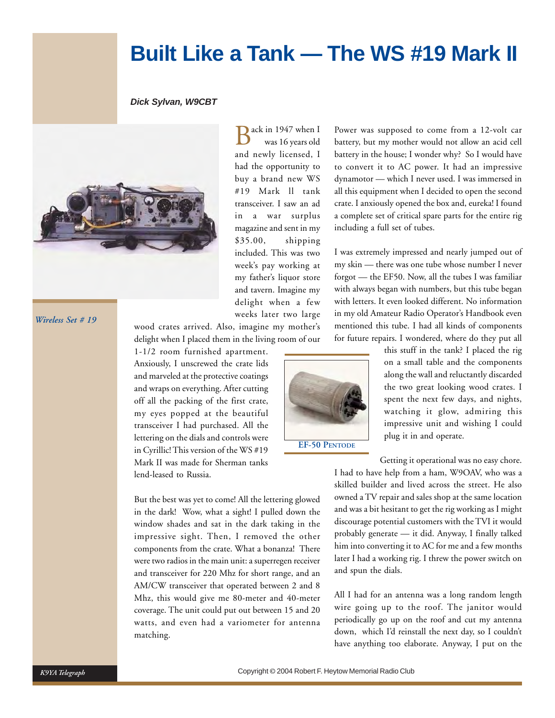# **Built Like a Tank — The WS #19 Mark II**

#### *Dick Sylvan, W9CBT*



*Wireless Set # 19*

ack in 1947 when I was 16 years old and newly licensed, I had the opportunity to buy a brand new WS #19 Mark ll tank transceiver. I saw an ad in a war surplus magazine and sent in my \$35.00, shipping included. This was two week's pay working at my father's liquor store and tavern. Imagine my delight when a few weeks later two large Power was supposed to come from a 12-volt car battery, but my mother would not allow an acid cell battery in the house; I wonder why? So I would have to convert it to AC power. It had an impressive dynamotor — which I never used. I was immersed in all this equipment when I decided to open the second crate. I anxiously opened the box and, eureka! I found a complete set of critical spare parts for the entire rig including a full set of tubes.

I was extremely impressed and nearly jumped out of my skin — there was one tube whose number I never forgot — the EF50. Now, all the tubes I was familiar with always began with numbers, but this tube began with letters. It even looked different. No information in my old Amateur Radio Operator's Handbook even mentioned this tube. I had all kinds of components for future repairs. I wondered, where do they put all

wood crates arrived. Also, imagine my mother's delight when I placed them in the living room of our

1-1/2 room furnished apartment. Anxiously, I unscrewed the crate lids and marveled at the protective coatings and wraps on everything. After cutting off all the packing of the first crate, my eyes popped at the beautiful transceiver I had purchased. All the lettering on the dials and controls were in Cyrillic! This version of the WS #19 Mark II was made for Sherman tanks lend-leased to Russia.

But the best was yet to come! All the lettering glowed in the dark! Wow, what a sight! I pulled down the window shades and sat in the dark taking in the impressive sight. Then, I removed the other components from the crate. What a bonanza! There were two radios in the main unit: a superregen receiver and transceiver for 220 Mhz for short range, and an AM/CW transceiver that operated between 2 and 8 Mhz, this would give me 80-meter and 40-meter coverage. The unit could put out between 15 and 20 watts, and even had a variometer for antenna matching.



this stuff in the tank? I placed the rig on a small table and the components along the wall and reluctantly discarded the two great looking wood crates. I spent the next few days, and nights, watching it glow, admiring this impressive unit and wishing I could plug it in and operate.

Getting it operational was no easy chore.

I had to have help from a ham, W9OAV, who was a skilled builder and lived across the street. He also owned a TV repair and sales shop at the same location and was a bit hesitant to get the rig working as I might discourage potential customers with the TVI it would probably generate — it did. Anyway, I finally talked him into converting it to AC for me and a few months later I had a working rig. I threw the power switch on and spun the dials.

All I had for an antenna was a long random length wire going up to the roof. The janitor would periodically go up on the roof and cut my antenna down, which I'd reinstall the next day, so I couldn't have anything too elaborate. Anyway, I put on the